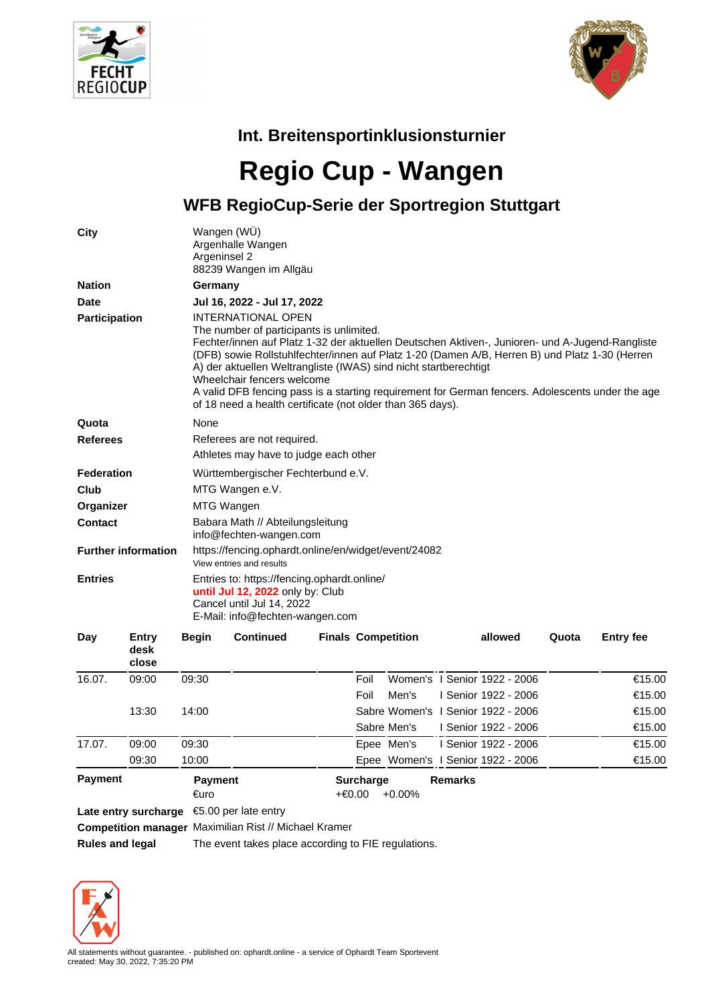



## **Int. Breitensportinklusionsturnier**

## **Regio Cup - Wangen**

**WFB RegioCup-Serie der Sportregion Stuttgart**

| City                       | Wangen (WU)<br>Argenhalle Wangen<br>Argeninsel 2<br>88239 Wangen im Allgäu                                                                                                                                                                                                                                                                                                                                                                                                                                                                     |  |  |  |  |  |  |
|----------------------------|------------------------------------------------------------------------------------------------------------------------------------------------------------------------------------------------------------------------------------------------------------------------------------------------------------------------------------------------------------------------------------------------------------------------------------------------------------------------------------------------------------------------------------------------|--|--|--|--|--|--|
| <b>Nation</b>              | Germany                                                                                                                                                                                                                                                                                                                                                                                                                                                                                                                                        |  |  |  |  |  |  |
| <b>Date</b>                | Jul 16, 2022 - Jul 17, 2022                                                                                                                                                                                                                                                                                                                                                                                                                                                                                                                    |  |  |  |  |  |  |
| Participation              | <b>INTERNATIONAL OPEN</b><br>The number of participants is unlimited.<br>Fechter/innen auf Platz 1-32 der aktuellen Deutschen Aktiven-, Junioren- und A-Jugend-Rangliste<br>(DFB) sowie Rollstuhlfechter/innen auf Platz 1-20 (Damen A/B, Herren B) und Platz 1-30 (Herren<br>A) der aktuellen Weltrangliste (IWAS) sind nicht startberechtigt<br>Wheelchair fencers welcome<br>A valid DFB fencing pass is a starting requirement for German fencers. Adolescents under the age<br>of 18 need a health certificate (not older than 365 days). |  |  |  |  |  |  |
| Quota                      | None                                                                                                                                                                                                                                                                                                                                                                                                                                                                                                                                           |  |  |  |  |  |  |
| <b>Referees</b>            | Referees are not required.<br>Athletes may have to judge each other                                                                                                                                                                                                                                                                                                                                                                                                                                                                            |  |  |  |  |  |  |
| <b>Federation</b>          | Württembergischer Fechterbund e.V.                                                                                                                                                                                                                                                                                                                                                                                                                                                                                                             |  |  |  |  |  |  |
| Club                       | MTG Wangen e.V.                                                                                                                                                                                                                                                                                                                                                                                                                                                                                                                                |  |  |  |  |  |  |
| Organizer                  | MTG Wangen                                                                                                                                                                                                                                                                                                                                                                                                                                                                                                                                     |  |  |  |  |  |  |
| <b>Contact</b>             | Babara Math // Abteilungsleitung<br>info@fechten-wangen.com                                                                                                                                                                                                                                                                                                                                                                                                                                                                                    |  |  |  |  |  |  |
| <b>Further information</b> | https://fencing.ophardt.online/en/widget/event/24082<br>View entries and results                                                                                                                                                                                                                                                                                                                                                                                                                                                               |  |  |  |  |  |  |
| <b>Entries</b>             | Entries to: https://fencing.ophardt.online/<br>until Jul 12, 2022 only by: Club<br>Cancel until Jul 14, 2022<br>E-Mail: info@fechten-wangen.com                                                                                                                                                                                                                                                                                                                                                                                                |  |  |  |  |  |  |

| Day            | Entry<br>desk<br>close | <b>Begin</b>           | <b>Continued</b>                                             |                            | <b>Finals Competition</b> |                | allowed                            | Quota | <b>Entry fee</b> |
|----------------|------------------------|------------------------|--------------------------------------------------------------|----------------------------|---------------------------|----------------|------------------------------------|-------|------------------|
| 16.07.         | 09:00                  | 09:30                  |                                                              | Foil                       |                           |                | Women's 1 Senior 1922 - 2006       |       | €15.00           |
|                |                        |                        |                                                              | Foil                       | Men's                     |                | Senior 1922 - 2006                 |       | €15.00           |
|                | 13:30                  | 14:00                  |                                                              |                            |                           |                | Sabre Women's 1 Senior 1922 - 2006 |       | €15.00           |
|                |                        |                        |                                                              |                            | Sabre Men's               |                | Senior 1922 - 2006                 |       | €15.00           |
| 17.07.         | 09:00                  | 09:30                  |                                                              |                            | Epee Men's                |                | Senior 1922 - 2006                 |       | €15.00           |
|                | 09:30                  | 10:00                  |                                                              |                            |                           |                | Epee Women's I Senior 1922 - 2006  |       | €15.00           |
| <b>Payment</b> |                        | <b>Payment</b><br>€uro |                                                              | <b>Surcharge</b><br>+€0.00 | $+0.00\%$                 | <b>Remarks</b> |                                    |       |                  |
|                |                        |                        | Late entry surcharge $\epsilon$ 5.00 per late entry          |                            |                           |                |                                    |       |                  |
|                |                        |                        | <b>Competition manager</b> Maximilian Rist // Michael Kramer |                            |                           |                |                                    |       |                  |

**Rules and legal** The event takes place according to FIE regulations.